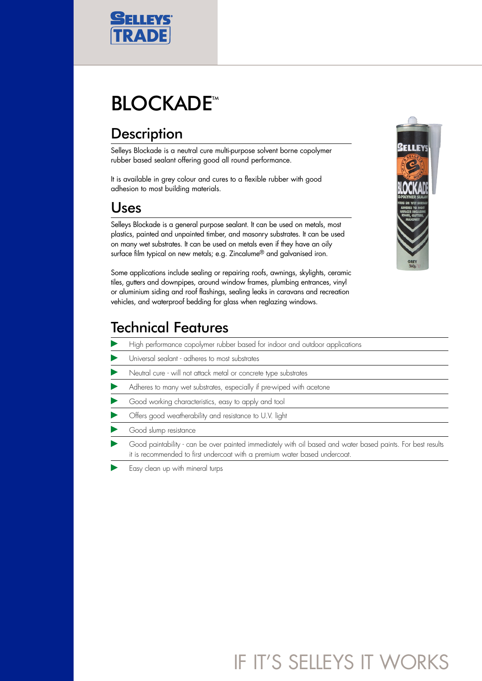

# **BLOCKADE<sup>™</sup>**

### **Description**

Selleys Blockade is a neutral cure multi-purpose solvent borne copolymer rubber based sealant offering good all round performance.

It is available in grey colour and cures to a flexible rubber with good adhesion to most building materials.

#### Uses

Selleys Blockade is a general purpose sealant. It can be used on metals, most plastics, painted and unpainted timber, and masonry substrates. It can be used on many wet substrates. It can be used on metals even if they have an oily surface film typical on new metals; e.g. Zincalume® and galvanised iron.

Some applications include sealing or repairing roofs, awnings, skylights, ceramic tiles, gutters and downpipes, around window frames, plumbing entrances, vinyl or aluminium siding and roof flashings, sealing leaks in caravans and recreation vehicles, and waterproof bedding for glass when reglazing windows.

#### Technical Features

- High performance copolymer rubber based for indoor and outdoor applications
- Universal sealant adheres to most substrates
- Neutral cure will not attack metal or concrete type substrates
- Adheres to many wet substrates, especially if pre-wiped with acetone
- Good working characteristics, easy to apply and tool
- Offers good weatherability and resistance to U.V. light
- Good slump resistance
- Good paintability can be over painted immediately with oil based and water based paints. For best results it is recommended to first undercoat with a premium water based undercoat.
- Easy clean up with mineral turps

## IF IT'S SELLEYS IT WORKS